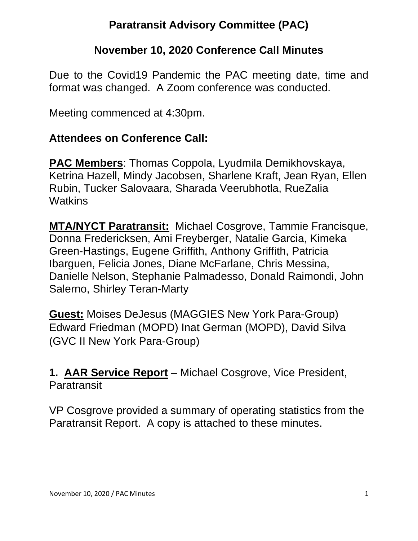# **Paratransit Advisory Committee (PAC)**

#### **November 10, 2020 Conference Call Minutes**

Due to the Covid19 Pandemic the PAC meeting date, time and format was changed. A Zoom conference was conducted.

Meeting commenced at 4:30pm.

#### **Attendees on Conference Call:**

**PAC Members**: Thomas Coppola, Lyudmila Demikhovskaya, Ketrina Hazell, Mindy Jacobsen, Sharlene Kraft, Jean Ryan, Ellen Rubin, Tucker Salovaara, Sharada Veerubhotla, RueZalia **Watkins** 

**MTA/NYCT Paratransit:** Michael Cosgrove, Tammie Francisque, Donna Fredericksen, Ami Freyberger, Natalie Garcia, Kimeka Green-Hastings, Eugene Griffith, Anthony Griffith, Patricia Ibarguen, Felicia Jones, Diane McFarlane, Chris Messina, Danielle Nelson, Stephanie Palmadesso, Donald Raimondi, John Salerno, Shirley Teran-Marty

**Guest:** Moises DeJesus (MAGGIES New York Para-Group) Edward Friedman (MOPD) Inat German (MOPD), David Silva (GVC II New York Para-Group)

**1. AAR Service Report** – Michael Cosgrove, Vice President, Paratransit

VP Cosgrove provided a summary of operating statistics from the Paratransit Report. A copy is attached to these minutes.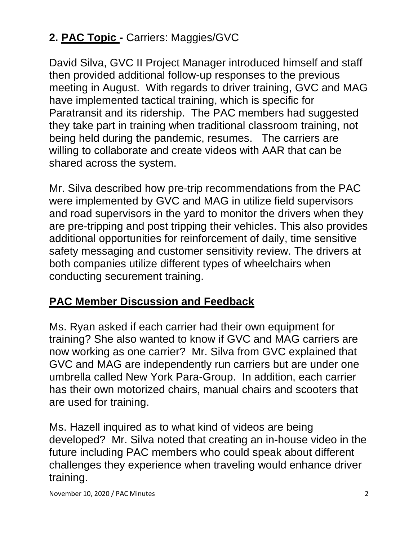# **2. PAC Topic -** Carriers: Maggies/GVC

David Silva, GVC II Project Manager introduced himself and staff then provided additional follow-up responses to the previous meeting in August. With regards to driver training, GVC and MAG have implemented tactical training, which is specific for Paratransit and its ridership. The PAC members had suggested they take part in training when traditional classroom training, not being held during the pandemic, resumes. The carriers are willing to collaborate and create videos with AAR that can be shared across the system.

Mr. Silva described how pre-trip recommendations from the PAC were implemented by GVC and MAG in utilize field supervisors and road supervisors in the yard to monitor the drivers when they are pre-tripping and post tripping their vehicles. This also provides additional opportunities for reinforcement of daily, time sensitive safety messaging and customer sensitivity review. The drivers at both companies utilize different types of wheelchairs when conducting securement training.

## **PAC Member Discussion and Feedback**

Ms. Ryan asked if each carrier had their own equipment for training? She also wanted to know if GVC and MAG carriers are now working as one carrier? Mr. Silva from GVC explained that GVC and MAG are independently run carriers but are under one umbrella called New York Para-Group. In addition, each carrier has their own motorized chairs, manual chairs and scooters that are used for training.

Ms. Hazell inquired as to what kind of videos are being developed? Mr. Silva noted that creating an in-house video in the future including PAC members who could speak about different challenges they experience when traveling would enhance driver training.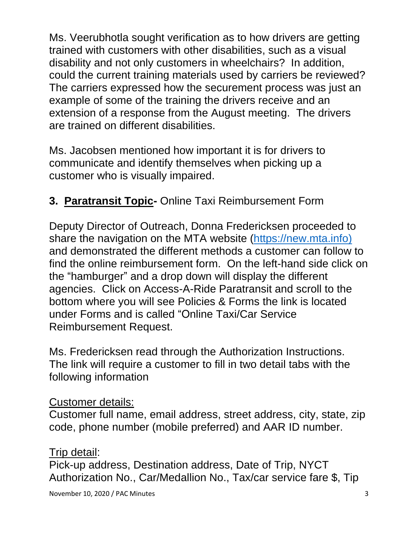Ms. Veerubhotla sought verification as to how drivers are getting trained with customers with other disabilities, such as a visual disability and not only customers in wheelchairs? In addition, could the current training materials used by carriers be reviewed? The carriers expressed how the securement process was just an example of some of the training the drivers receive and an extension of a response from the August meeting. The drivers are trained on different disabilities.

Ms. Jacobsen mentioned how important it is for drivers to communicate and identify themselves when picking up a customer who is visually impaired.

# **3. Paratransit Topic-** Online Taxi Reimbursement Form

Deputy Director of Outreach, Donna Fredericksen proceeded to share the navigation on the MTA website [\(https://new.mta.info\)](https://new.mta.info/) and demonstrated the different methods a customer can follow to find the online reimbursement form. On the left-hand side click on the "hamburger" and a drop down will display the different agencies. Click on Access-A-Ride Paratransit and scroll to the bottom where you will see Policies & Forms the link is located under Forms and is called "Online Taxi/Car Service Reimbursement Request.

Ms. Fredericksen read through the Authorization Instructions. The link will require a customer to fill in two detail tabs with the following information

#### Customer details:

Customer full name, email address, street address, city, state, zip code, phone number (mobile preferred) and AAR ID number.

#### Trip detail:

Pick-up address, Destination address, Date of Trip, NYCT Authorization No., Car/Medallion No., Tax/car service fare \$, Tip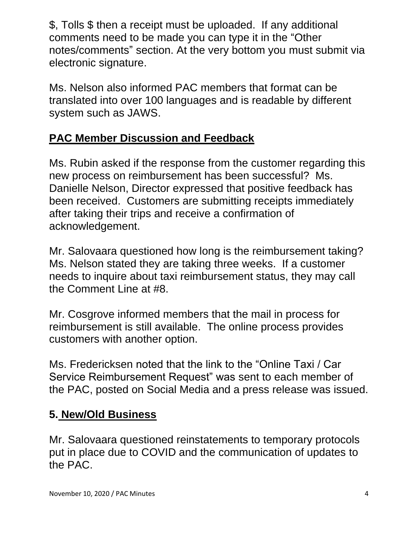\$, Tolls \$ then a receipt must be uploaded. If any additional comments need to be made you can type it in the "Other notes/comments" section. At the very bottom you must submit via electronic signature.

Ms. Nelson also informed PAC members that format can be translated into over 100 languages and is readable by different system such as JAWS.

# **PAC Member Discussion and Feedback**

Ms. Rubin asked if the response from the customer regarding this new process on reimbursement has been successful? Ms. Danielle Nelson, Director expressed that positive feedback has been received. Customers are submitting receipts immediately after taking their trips and receive a confirmation of acknowledgement.

Mr. Salovaara questioned how long is the reimbursement taking? Ms. Nelson stated they are taking three weeks. If a customer needs to inquire about taxi reimbursement status, they may call the Comment Line at #8.

Mr. Cosgrove informed members that the mail in process for reimbursement is still available. The online process provides customers with another option.

Ms. Fredericksen noted that the link to the "Online Taxi / Car Service Reimbursement Request" was sent to each member of the PAC, posted on Social Media and a press release was issued.

## **5. New/Old Business**

Mr. Salovaara questioned reinstatements to temporary protocols put in place due to COVID and the communication of updates to the PAC.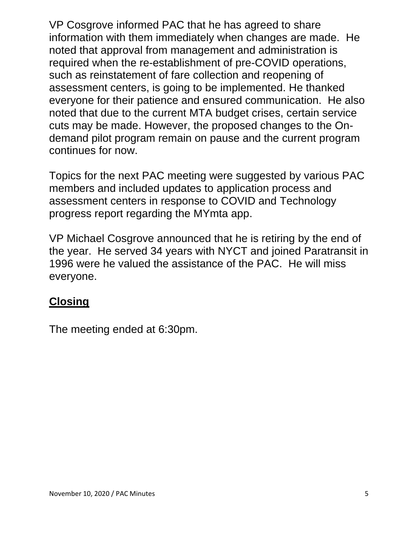VP Cosgrove informed PAC that he has agreed to share information with them immediately when changes are made. He noted that approval from management and administration is required when the re-establishment of pre-COVID operations, such as reinstatement of fare collection and reopening of assessment centers, is going to be implemented. He thanked everyone for their patience and ensured communication. He also noted that due to the current MTA budget crises, certain service cuts may be made. However, the proposed changes to the Ondemand pilot program remain on pause and the current program continues for now.

Topics for the next PAC meeting were suggested by various PAC members and included updates to application process and assessment centers in response to COVID and Technology progress report regarding the MYmta app.

VP Michael Cosgrove announced that he is retiring by the end of the year. He served 34 years with NYCT and joined Paratransit in 1996 were he valued the assistance of the PAC. He will miss everyone.

## **Closing**

The meeting ended at 6:30pm.